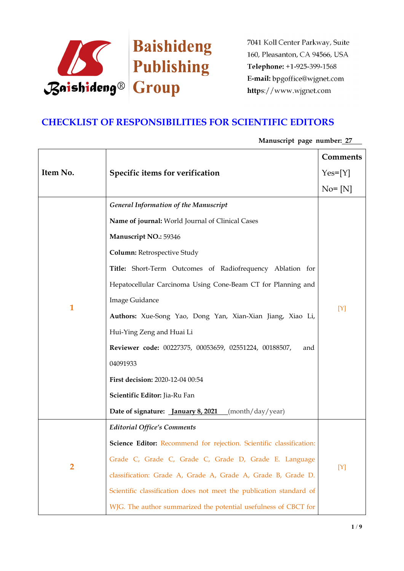

# **CHECKLIST OF RESPONSIBILITIES FOR SCIENTIFIC EDITORS**

|                |                                                                     | Comments   |
|----------------|---------------------------------------------------------------------|------------|
| Item No.       | Specific items for verification                                     | $Yes=[Y]$  |
|                |                                                                     | $No = [N]$ |
|                | <b>General Information of the Manuscript</b>                        |            |
|                | Name of journal: World Journal of Clinical Cases                    |            |
|                | Manuscript NO.: 59346                                               |            |
|                | Column: Retrospective Study                                         |            |
|                | Title: Short-Term Outcomes of Radiofrequency Ablation for           |            |
|                | Hepatocellular Carcinoma Using Cone-Beam CT for Planning and        |            |
| $\mathbf 1$    | <b>Image Guidance</b>                                               |            |
|                | Authors: Xue-Song Yao, Dong Yan, Xian-Xian Jiang, Xiao Li,          | [Y]        |
|                | Hui-Ying Zeng and Huai Li                                           |            |
|                | Reviewer code: 00227375, 00053659, 02551224, 00188507,<br>and       |            |
|                | 04091933                                                            |            |
|                | First decision: 2020-12-04 00:54                                    |            |
|                | Scientific Editor: Jia-Ru Fan                                       |            |
|                | Date of signature: <i>January 8, 2021</i> (month/day/year)          |            |
| $\overline{2}$ | <b>Editorial Office's Comments</b>                                  |            |
|                | Science Editor: Recommend for rejection. Scientific classification: |            |
|                | Grade C, Grade C, Grade C, Grade D, Grade E. Language               | [Y]        |
|                | classification: Grade A, Grade A, Grade A, Grade B, Grade D.        |            |
|                | Scientific classification does not meet the publication standard of |            |
|                | WJG. The author summarized the potential usefulness of CBCT for     |            |

## **Manuscript page number: 27**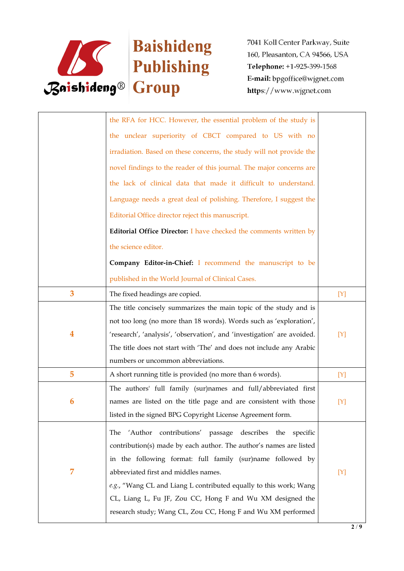

|                | the RFA for HCC. However, the essential problem of the study is         |     |
|----------------|-------------------------------------------------------------------------|-----|
|                | the unclear superiority of CBCT compared to US with no                  |     |
|                | irradiation. Based on these concerns, the study will not provide the    |     |
|                | novel findings to the reader of this journal. The major concerns are    |     |
|                | the lack of clinical data that made it difficult to understand.         |     |
|                | Language needs a great deal of polishing. Therefore, I suggest the      |     |
|                | Editorial Office director reject this manuscript.                       |     |
|                | Editorial Office Director: I have checked the comments written by       |     |
|                | the science editor.                                                     |     |
|                | Company Editor-in-Chief: I recommend the manuscript to be               |     |
|                | published in the World Journal of Clinical Cases.                       |     |
| 3              | The fixed headings are copied.                                          | [Y] |
|                | The title concisely summarizes the main topic of the study and is       |     |
|                | not too long (no more than 18 words). Words such as 'exploration',      |     |
| 4              | 'research', 'analysis', 'observation', and 'investigation' are avoided. | [Y] |
|                | The title does not start with 'The' and does not include any Arabic     |     |
|                | numbers or uncommon abbreviations.                                      |     |
| 5              | A short running title is provided (no more than 6 words).               | [Y] |
|                | The authors' full family (sur)names and full/abbreviated first          |     |
| 6              | names are listed on the title page and are consistent with those        | [Y] |
|                | listed in the signed BPG Copyright License Agreement form.              |     |
|                | 'Author contributions' passage describes the specific<br>The            |     |
|                | contribution(s) made by each author. The author's names are listed      |     |
|                |                                                                         |     |
|                | in the following format: full family (sur)name followed by              |     |
| $\overline{7}$ | abbreviated first and middles names.                                    | [Y] |
|                | e.g., "Wang CL and Liang L contributed equally to this work; Wang       |     |
|                | CL, Liang L, Fu JF, Zou CC, Hong F and Wu XM designed the               |     |
|                | research study; Wang CL, Zou CC, Hong F and Wu XM performed             |     |
|                |                                                                         |     |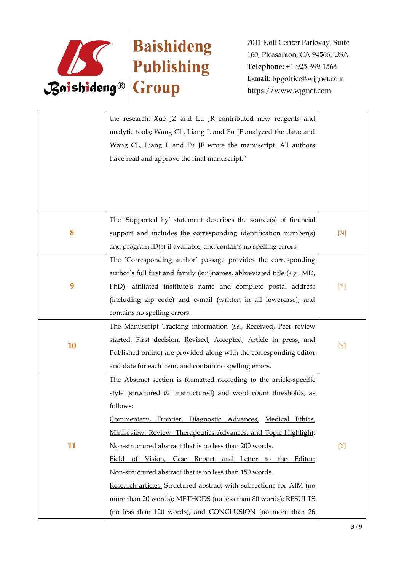

|           | the research; Xue JZ and Lu JR contributed new reagents and                                     |     |
|-----------|-------------------------------------------------------------------------------------------------|-----|
|           | analytic tools; Wang CL, Liang L and Fu JF analyzed the data; and                               |     |
|           | Wang CL, Liang L and Fu JF wrote the manuscript. All authors                                    |     |
|           | have read and approve the final manuscript."                                                    |     |
|           |                                                                                                 |     |
|           |                                                                                                 |     |
|           |                                                                                                 |     |
|           | The 'Supported by' statement describes the source(s) of financial                               |     |
| 8         | support and includes the corresponding identification number(s)                                 | [N] |
|           | and program ID(s) if available, and contains no spelling errors.                                |     |
|           | The 'Corresponding author' passage provides the corresponding                                   |     |
|           | author's full first and family (sur)names, abbreviated title (e.g., MD,                         |     |
| 9         | PhD), affiliated institute's name and complete postal address                                   | [Y] |
|           |                                                                                                 |     |
|           | (including zip code) and e-mail (written in all lowercase), and<br>contains no spelling errors. |     |
|           |                                                                                                 |     |
|           | The Manuscript Tracking information (i.e., Received, Peer review                                |     |
| <b>10</b> | started, First decision, Revised, Accepted, Article in press, and                               | [Y] |
|           | Published online) are provided along with the corresponding editor                              |     |
|           | and date for each item, and contain no spelling errors.                                         |     |
|           | The Abstract section is formatted according to the article-specific                             |     |
|           | style (structured vs unstructured) and word count thresholds, as                                |     |
|           | follows:                                                                                        |     |
|           | Commentary, Frontier, Diagnostic Advances, Medical Ethics,                                      |     |
|           | Minireview, Review, Therapeutics Advances, and Topic Highlight:                                 |     |
| 11        | Non-structured abstract that is no less than 200 words.                                         | [Y] |
|           | Field of Vision, Case Report and Letter to the Editor:                                          |     |
|           | Non-structured abstract that is no less than 150 words.                                         |     |
|           | Research articles: Structured abstract with subsections for AIM (no                             |     |
|           | more than 20 words); METHODS (no less than 80 words); RESULTS                                   |     |
|           | (no less than 120 words); and CONCLUSION (no more than 26                                       |     |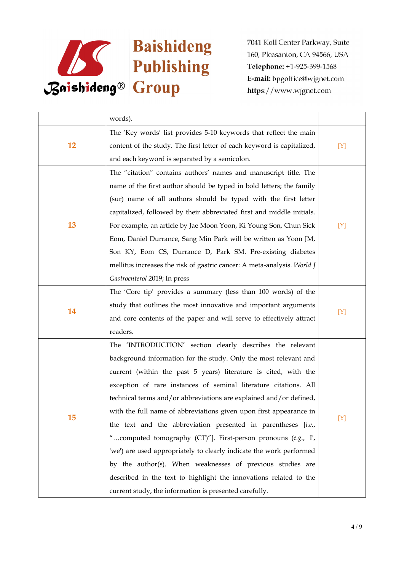

|           | words).                                                                 |       |  |
|-----------|-------------------------------------------------------------------------|-------|--|
|           | The 'Key words' list provides 5-10 keywords that reflect the main       |       |  |
| <b>12</b> | content of the study. The first letter of each keyword is capitalized,  | [Y]   |  |
|           | and each keyword is separated by a semicolon.                           |       |  |
|           | The "citation" contains authors' names and manuscript title. The        |       |  |
|           | name of the first author should be typed in bold letters; the family    |       |  |
|           | (sur) name of all authors should be typed with the first letter         |       |  |
|           | capitalized, followed by their abbreviated first and middle initials.   |       |  |
| 13        | For example, an article by Jae Moon Yoon, Ki Young Son, Chun Sick       | $[Y]$ |  |
|           | Eom, Daniel Durrance, Sang Min Park will be written as Yoon JM,         |       |  |
|           | Son KY, Eom CS, Durrance D, Park SM. Pre-existing diabetes              |       |  |
|           | mellitus increases the risk of gastric cancer: A meta-analysis. World J |       |  |
|           | Gastroenterol 2019; In press                                            |       |  |
|           | The 'Core tip' provides a summary (less than 100 words) of the          |       |  |
| 14        | study that outlines the most innovative and important arguments         |       |  |
|           | and core contents of the paper and will serve to effectively attract    | $[Y]$ |  |
|           | readers.                                                                |       |  |
|           | The 'INTRODUCTION' section clearly describes the relevant               |       |  |
|           | background information for the study. Only the most relevant and        |       |  |
|           | current (within the past 5 years) literature is cited, with the         |       |  |
|           | exception of rare instances of seminal literature citations. All        |       |  |
|           | technical terms and/or abbreviations are explained and/or defined,      |       |  |
|           | with the full name of abbreviations given upon first appearance in      |       |  |
| 15        | the text and the abbreviation presented in parentheses [i.e.,           | $[Y]$ |  |
|           | "computed tomography (CT)"]. First-person pronouns (e.g., T,            |       |  |
|           | 'we') are used appropriately to clearly indicate the work performed     |       |  |
|           | by the author(s). When weaknesses of previous studies are               |       |  |
|           | described in the text to highlight the innovations related to the       |       |  |
|           | current study, the information is presented carefully.                  |       |  |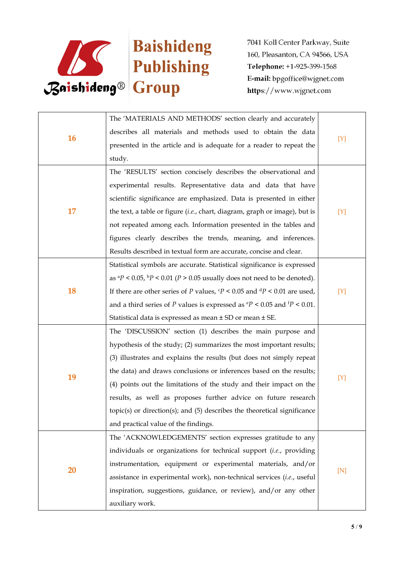

|    | The 'MATERIALS AND METHODS' section clearly and accurately                                     |     |  |
|----|------------------------------------------------------------------------------------------------|-----|--|
| 16 | describes all materials and methods used to obtain the data                                    |     |  |
|    | presented in the article and is adequate for a reader to repeat the                            | [Y] |  |
|    | study.                                                                                         |     |  |
|    | The 'RESULTS' section concisely describes the observational and                                |     |  |
|    | experimental results. Representative data and data that have                                   |     |  |
|    | scientific significance are emphasized. Data is presented in either                            |     |  |
| 17 | the text, a table or figure (i.e., chart, diagram, graph or image), but is                     | [Y] |  |
|    | not repeated among each. Information presented in the tables and                               |     |  |
|    | figures clearly describes the trends, meaning, and inferences.                                 |     |  |
|    | Results described in textual form are accurate, concise and clear.                             |     |  |
|    | Statistical symbols are accurate. Statistical significance is expressed                        |     |  |
|    | as ${}^{a}P$ < 0.05, ${}^{b}P$ < 0.01 (P > 0.05 usually does not need to be denoted).          |     |  |
| 18 | If there are other series of P values, $\frac{c}{P}$ < 0.05 and $\frac{d}{P}$ < 0.01 are used, | [Y] |  |
|    | and a third series of P values is expressed as $\rm{e}P < 0.05$ and $\rm{f}P < 0.01$ .         |     |  |
|    | Statistical data is expressed as mean ± SD or mean ± SE.                                       |     |  |
|    | The 'DISCUSSION' section (1) describes the main purpose and                                    |     |  |
|    | hypothesis of the study; (2) summarizes the most important results;                            |     |  |
|    | (3) illustrates and explains the results (but does not simply repeat                           |     |  |
| 19 | the data) and draws conclusions or inferences based on the results;                            | [Y] |  |
|    | (4) points out the limitations of the study and their impact on the                            |     |  |
|    | results, as well as proposes further advice on future research                                 |     |  |
|    | topic(s) or direction(s); and (5) describes the theoretical significance                       |     |  |
|    | and practical value of the findings.                                                           |     |  |
|    | The 'ACKNOWLEDGEMENTS' section expresses gratitude to any                                      |     |  |
|    | individuals or organizations for technical support (i.e., providing                            |     |  |
| 20 | instrumentation, equipment or experimental materials, and/or                                   | [N] |  |
|    | assistance in experimental work), non-technical services (i.e., useful                         |     |  |
|    | inspiration, suggestions, guidance, or review), and/or any other                               |     |  |
|    | auxiliary work.                                                                                |     |  |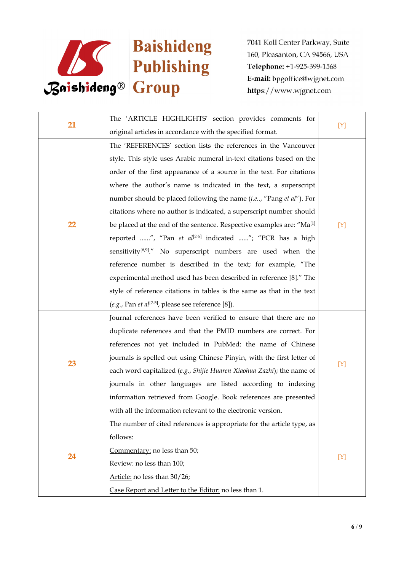

| 21 | The 'ARTICLE HIGHLIGHTS' section provides comments for                                                                                       |       |  |
|----|----------------------------------------------------------------------------------------------------------------------------------------------|-------|--|
|    | original articles in accordance with the specified format.                                                                                   | $[Y]$ |  |
|    | The 'REFERENCES' section lists the references in the Vancouver                                                                               |       |  |
|    | style. This style uses Arabic numeral in-text citations based on the<br>order of the first appearance of a source in the text. For citations |       |  |
|    |                                                                                                                                              |       |  |
|    | where the author's name is indicated in the text, a superscript                                                                              |       |  |
|    | number should be placed following the name (i.e, "Pang et al"). For                                                                          |       |  |
|    | citations where no author is indicated, a superscript number should                                                                          |       |  |
| 22 | be placed at the end of the sentence. Respective examples are: "Ma <sup>[1]</sup>                                                            | [Y]   |  |
|    | reported ", "Pan et al <sup>[2-5]</sup> indicated "; "PCR has a high                                                                         |       |  |
|    | sensitivity <sup>[6,9]</sup> ." No superscript numbers are used when the                                                                     |       |  |
|    | reference number is described in the text; for example, "The                                                                                 |       |  |
|    | experimental method used has been described in reference [8]." The                                                                           |       |  |
|    | style of reference citations in tables is the same as that in the text                                                                       |       |  |
|    | (e.g., Pan et al <sup>[2-5]</sup> , please see reference [8]).                                                                               |       |  |
|    | Journal references have been verified to ensure that there are no                                                                            |       |  |
|    | duplicate references and that the PMID numbers are correct. For                                                                              |       |  |
|    | references not yet included in PubMed: the name of Chinese                                                                                   |       |  |
| 23 | journals is spelled out using Chinese Pinyin, with the first letter of                                                                       |       |  |
|    | each word capitalized (e.g., Shijie Huaren Xiaohua Zazhi); the name of                                                                       | [Y]   |  |
|    | journals in other languages are listed according to indexing                                                                                 |       |  |
|    | information retrieved from Google. Book references are presented                                                                             |       |  |
|    | with all the information relevant to the electronic version.                                                                                 |       |  |
|    | The number of cited references is appropriate for the article type, as                                                                       |       |  |
|    | follows:                                                                                                                                     |       |  |
| 24 | Commentary: no less than 50;                                                                                                                 |       |  |
|    | Review: no less than 100;                                                                                                                    | [Y]   |  |
|    | Article: no less than 30/26;                                                                                                                 |       |  |
|    | Case Report and Letter to the Editor: no less than 1.                                                                                        |       |  |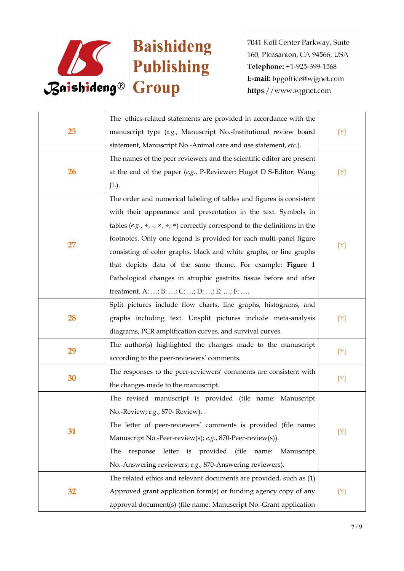

|    | The ethics-related statements are provided in accordance with the                         |     |  |
|----|-------------------------------------------------------------------------------------------|-----|--|
| 25 | manuscript type (e.g., Manuscript No.-Institutional review board                          | [Y] |  |
|    | statement, Manuscript No.-Animal care and use statement, etc.).                           |     |  |
|    | The names of the peer reviewers and the scientific editor are present                     |     |  |
| 26 | at the end of the paper $(e.g., P\text{-}Reviewer: Hugot D S\text{-}Editor: Wang)$        | [Y] |  |
|    | JL).                                                                                      |     |  |
|    | The order and numerical labeling of tables and figures is consistent                      |     |  |
|    | with their appearance and presentation in the text. Symbols in                            |     |  |
|    | tables (e.g., +, -, $\times$ , ÷, $\ast$ ) correctly correspond to the definitions in the |     |  |
| 27 | footnotes. Only one legend is provided for each multi-panel figure                        |     |  |
|    | consisting of color graphs, black and white graphs, or line graphs                        | [Y] |  |
|    | that depicts data of the same theme. For example: Figure 1                                |     |  |
|    | Pathological changes in atrophic gastritis tissue before and after                        |     |  |
|    | treatment. A: ; B: ; C: ; D: ; E: ; F:                                                    |     |  |
|    | Split pictures include flow charts, line graphs, histograms, and                          |     |  |
| 28 | graphs including text. Unsplit pictures include meta-analysis                             | [Y] |  |
|    | diagrams, PCR amplification curves, and survival curves.                                  |     |  |
| 29 | The author(s) highlighted the changes made to the manuscript                              | [Y] |  |
|    | according to the peer-reviewers' comments.                                                |     |  |
| 30 | The responses to the peer-reviewers' comments are consistent with                         | [Y] |  |
|    | the changes made to the manuscript.                                                       |     |  |
|    | The revised manuscript is provided (file name: Manuscript                                 |     |  |
|    | No.-Review; e.g., 870- Review).                                                           |     |  |
| 31 | The letter of peer-reviewers' comments is provided (file name:                            | [Y] |  |
|    | Manuscript No.-Peer-review(s); e.g., 870-Peer-review(s)).                                 |     |  |
|    | response letter is provided (file name: Manuscript<br>The                                 |     |  |
|    | No.-Answering reviewers; e.g., 870-Answering reviewers).                                  |     |  |
|    | The related ethics and relevant documents are provided, such as (1)                       |     |  |
| 32 | Approved grant application form(s) or funding agency copy of any                          | [Y] |  |
|    | approval document(s) (file name: Manuscript No.-Grant application                         |     |  |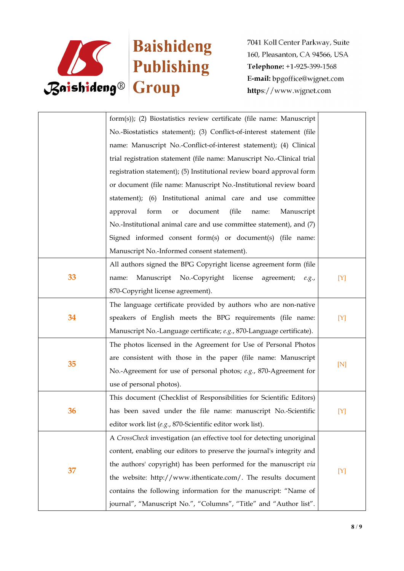

|    | form(s)); (2) Biostatistics review certificate (file name: Manuscript  |       |  |
|----|------------------------------------------------------------------------|-------|--|
|    | No.-Biostatistics statement); (3) Conflict-of-interest statement (file |       |  |
|    | name: Manuscript No.-Conflict-of-interest statement); (4) Clinical     |       |  |
|    | trial registration statement (file name: Manuscript No.-Clinical trial |       |  |
|    | registration statement); (5) Institutional review board approval form  |       |  |
|    | or document (file name: Manuscript No.-Institutional review board      |       |  |
|    | statement); (6) Institutional animal care and use committee            |       |  |
|    | form<br>document<br>(file<br>approval<br>Manuscript<br>or<br>name:     |       |  |
|    | No.-Institutional animal care and use committee statement), and (7)    |       |  |
|    | Signed informed consent form(s) or document(s) (file name:             |       |  |
|    | Manuscript No.-Informed consent statement).                            |       |  |
|    | All authors signed the BPG Copyright license agreement form (file      |       |  |
| 33 | Manuscript No.-Copyright license agreement;<br>[Y]<br>name:<br>e.g.,   |       |  |
|    | 870-Copyright license agreement).                                      |       |  |
|    | The language certificate provided by authors who are non-native        |       |  |
| 34 | speakers of English meets the BPG requirements (file name:             | [Y]   |  |
|    | Manuscript No.-Language certificate; e.g., 870-Language certificate).  |       |  |
|    | The photos licensed in the Agreement for Use of Personal Photos        |       |  |
| 35 | are consistent with those in the paper (file name: Manuscript          |       |  |
|    | No.-Agreement for use of personal photos; e.g., 870-Agreement for      | [N]   |  |
|    | use of personal photos).                                               |       |  |
|    | This document (Checklist of Responsibilities for Scientific Editors)   |       |  |
| 36 | has been saved under the file name: manuscript No.-Scientific          | $[Y]$ |  |
|    | editor work list (e.g., 870-Scientific editor work list).              |       |  |
|    | A CrossCheck investigation (an effective tool for detecting unoriginal |       |  |
|    | content, enabling our editors to preserve the journal's integrity and  |       |  |
| 37 | the authors' copyright) has been performed for the manuscript via      |       |  |
|    | the website: http://www.ithenticate.com/. The results document         | [Y]   |  |
|    | contains the following information for the manuscript: "Name of        |       |  |
|    | journal", "Manuscript No.", "Columns", "Title" and "Author list".      |       |  |
|    |                                                                        |       |  |